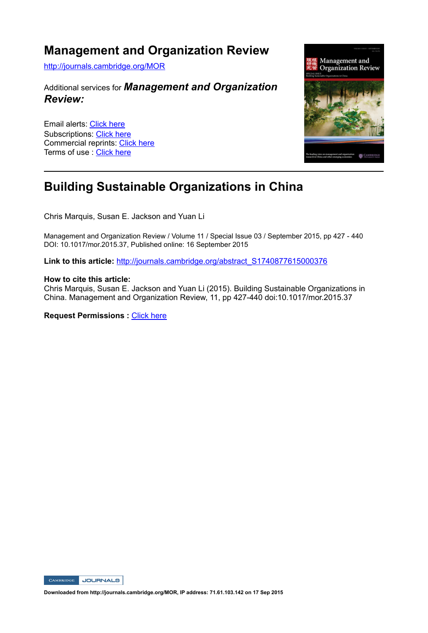## **Management and Organization Review**

http://journals.cambridge.org/MOR

Additional services for *Management and Organization Review:*

Email alerts: Click here Subscriptions: Click here Commercial reprints: Click here Terms of use : Click here



# **Building Sustainable Organizations in China**

Chris Marquis, Susan E. Jackson and Yuan Li

Management and Organization Review / Volume 11 / Special Issue 03 / September 2015, pp 427 - 440 DOI: 10.1017/mor.2015.37, Published online: 16 September 2015

**Link to this article:** http://journals.cambridge.org/abstract\_S1740877615000376

#### **How to cite this article:**

Chris Marquis, Susan E. Jackson and Yuan Li (2015). Building Sustainable Organizations in China. Management and Organization Review, 11, pp 427-440 doi:10.1017/mor.2015.37

**Request Permissions :** Click here

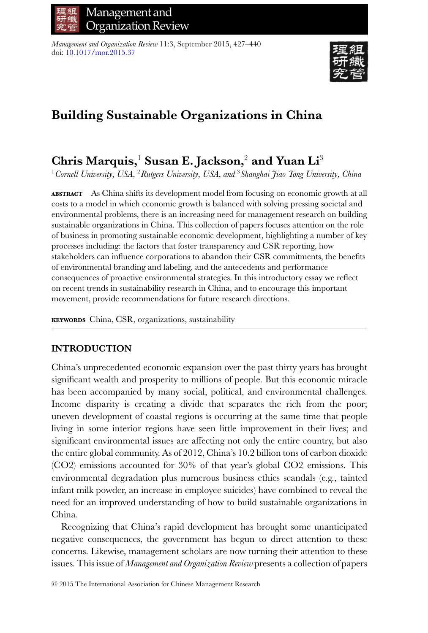

Management and Organization Review

*Management and Organization Review* 11:3, September 2015, 427–440 doi: [10.1017/mor.2015.37](http://dx.doi.org/10.1017/mor.2015.37)



# **Building Sustainable Organizations in China**

## **Chris Marquis,**<sup>1</sup> **Susan E. Jackson,**<sup>2</sup> **and Yuan Li**<sup>3</sup>

<sup>1</sup> Cornell University, USA, <sup>2</sup> Rutgers University, USA, and <sup>3</sup> Shanghai Jiao Tong University, China

**ABSTRACT** As China shifts its development model from focusing on economic growth at all costs to a model in which economic growth is balanced with solving pressing societal and environmental problems, there is an increasing need for management research on building sustainable organizations in China. This collection of papers focuses attention on the role of business in promoting sustainable economic development, highlighting a number of key processes including: the factors that foster transparency and CSR reporting, how stakeholders can influence corporations to abandon their CSR commitments, the benefits of environmental branding and labeling, and the antecedents and performance consequences of proactive environmental strategies. In this introductory essay we reflect on recent trends in sustainability research in China, and to encourage this important movement, provide recommendations for future research directions.

**KEYWORDS** China, CSR, organizations, sustainability

## **INTRODUCTION**

China's unprecedented economic expansion over the past thirty years has brought significant wealth and prosperity to millions of people. But this economic miracle has been accompanied by many social, political, and environmental challenges. Income disparity is creating a divide that separates the rich from the poor; uneven development of coastal regions is occurring at the same time that people living in some interior regions have seen little improvement in their lives; and significant environmental issues are affecting not only the entire country, but also the entire global community. As of 2012, China's 10.2 billion tons of carbon dioxide (CO2) emissions accounted for 30% of that year's global CO2 emissions. This environmental degradation plus numerous business ethics scandals (e.g., tainted infant milk powder, an increase in employee suicides) have combined to reveal the need for an improved understanding of how to build sustainable organizations in China.

Recognizing that China's rapid development has brought some unanticipated negative consequences, the government has begun to direct attention to these concerns. Likewise, management scholars are now turning their attention to these issues. This issue of *Management and Organization Review* presents a collection of papers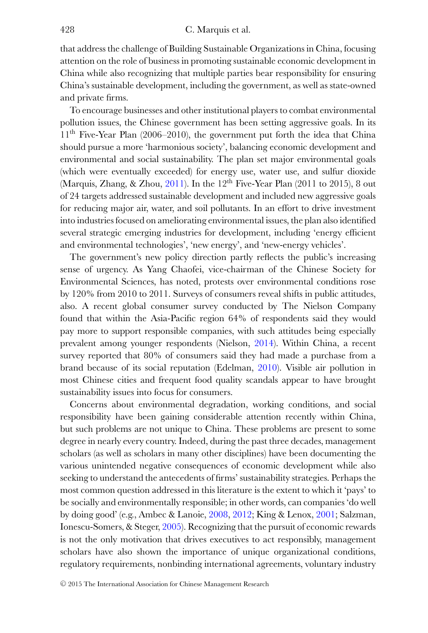that address the challenge of Building Sustainable Organizations in China, focusing attention on the role of business in promoting sustainable economic development in China while also recognizing that multiple parties bear responsibility for ensuring China's sustainable development, including the government, as well as state-owned and private firms.

To encourage businesses and other institutional players to combat environmental pollution issues, the Chinese government has been setting aggressive goals. In its 11th Five-Year Plan (2006–2010), the government put forth the idea that China should pursue a more 'harmonious society', balancing economic development and environmental and social sustainability. The plan set major environmental goals (which were eventually exceeded) for energy use, water use, and sulfur dioxide (Marquis, Zhang, & Zhou, [2011\)](#page-13-0). In the 12<sup>th</sup> Five-Year Plan (2011 to 2015), 8 out of 24 targets addressed sustainable development and included new aggressive goals for reducing major air, water, and soil pollutants. In an effort to drive investment into industries focused on ameliorating environmental issues, the plan also identified several strategic emerging industries for development, including 'energy efficient and environmental technologies', 'new energy', and 'new-energy vehicles'.

The government's new policy direction partly reflects the public's increasing sense of urgency. As Yang Chaofei, vice-chairman of the Chinese Society for Environmental Sciences, has noted, protests over environmental conditions rose by 120% from 2010 to 2011. Surveys of consumers reveal shifts in public attitudes, also. A recent global consumer survey conducted by The Nielson Company found that within the Asia-Pacific region 64% of respondents said they would pay more to support responsible companies, with such attitudes being especially prevalent among younger respondents (Nielson, [2014\)](#page-13-0). Within China, a recent survey reported that 80% of consumers said they had made a purchase from a brand because of its social reputation (Edelman, [2010\)](#page-12-0). Visible air pollution in most Chinese cities and frequent food quality scandals appear to have brought sustainability issues into focus for consumers.

Concerns about environmental degradation, working conditions, and social responsibility have been gaining considerable attention recently within China, but such problems are not unique to China. These problems are present to some degree in nearly every country. Indeed, during the past three decades, management scholars (as well as scholars in many other disciplines) have been documenting the various unintended negative consequences of economic development while also seeking to understand the antecedents of firms' sustainability strategies. Perhaps the most common question addressed in this literature is the extent to which it 'pays' to be socially and environmentally responsible; in other words, can companies 'do well by doing good' (e.g., Ambec & Lanoie, [2008,](#page-12-0) [2012;](#page-12-0) King & Lenox, [2001;](#page-13-0) Salzman, Ionescu-Somers, & Steger, [2005\)](#page-13-0). Recognizing that the pursuit of economic rewards is not the only motivation that drives executives to act responsibly, management scholars have also shown the importance of unique organizational conditions, regulatory requirements, nonbinding international agreements, voluntary industry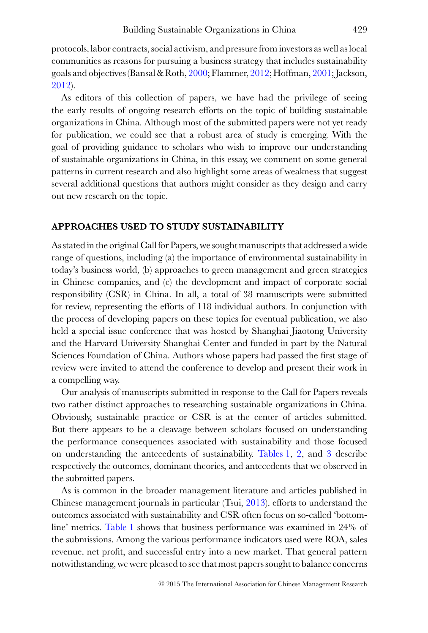protocols, labor contracts, social activism, and pressure from investors as well as local communities as reasons for pursuing a business strategy that includes sustainability goals and objectives (Bansal & Roth, [2000;](#page-12-0) Flammer, [2012;](#page-12-0) Hoffman, [2001;](#page-12-0) Jackson, [2012\)](#page-12-0).

As editors of this collection of papers, we have had the privilege of seeing the early results of ongoing research efforts on the topic of building sustainable organizations in China. Although most of the submitted papers were not yet ready for publication, we could see that a robust area of study is emerging. With the goal of providing guidance to scholars who wish to improve our understanding of sustainable organizations in China, in this essay, we comment on some general patterns in current research and also highlight some areas of weakness that suggest several additional questions that authors might consider as they design and carry out new research on the topic.

#### **APPROACHES USED TO STUDY SUSTAINABILITY**

As stated in the original Call for Papers, we sought manuscripts that addressed a wide range of questions, including (a) the importance of environmental sustainability in today's business world, (b) approaches to green management and green strategies in Chinese companies, and (c) the development and impact of corporate social responsibility (CSR) in China. In all, a total of 38 manuscripts were submitted for review, representing the efforts of 118 individual authors. In conjunction with the process of developing papers on these topics for eventual publication, we also held a special issue conference that was hosted by Shanghai Jiaotong University and the Harvard University Shanghai Center and funded in part by the Natural Sciences Foundation of China. Authors whose papers had passed the first stage of review were invited to attend the conference to develop and present their work in a compelling way.

Our analysis of manuscripts submitted in response to the Call for Papers reveals two rather distinct approaches to researching sustainable organizations in China. Obviously, sustainable practice or CSR is at the center of articles submitted. But there appears to be a cleavage between scholars focused on understanding the performance consequences associated with sustainability and those focused on understanding the antecedents of sustainability. [Tables 1,](#page-4-0) [2,](#page-4-0) and [3](#page-4-0) describe respectively the outcomes, dominant theories, and antecedents that we observed in the submitted papers.

As is common in the broader management literature and articles published in Chinese management journals in particular (Tsui, [2013\)](#page-13-0), efforts to understand the outcomes associated with sustainability and CSR often focus on so-called 'bottomline' metrics. [Table 1](#page-4-0) shows that business performance was examined in 24% of the submissions. Among the various performance indicators used were ROA, sales revenue, net profit, and successful entry into a new market. That general pattern notwithstanding, we were pleased to see that most papers sought to balance concerns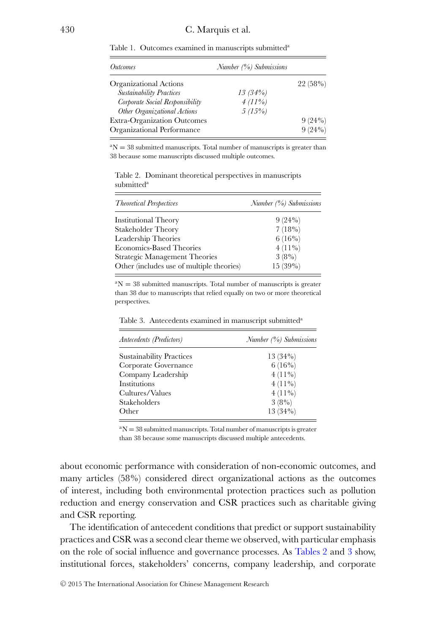| <i><u><b>Outcomes</b></u></i>   | Number $(\%)$ Submissions |         |
|---------------------------------|---------------------------|---------|
| Organizational Actions          |                           | 22(58%) |
| <b>Sustainability Practices</b> | 13(34%)                   |         |
| Corporate Social Responsibility | $4(11\%)$                 |         |
| Other Organizational Actions    | 5(15%)                    |         |
| Extra-Organization Outcomes     |                           | 9(24%)  |
| Organizational Performance      |                           | 9(24%)  |

<span id="page-4-0"></span>Table 1. Outcomes examined in manuscripts submitted<sup>a</sup>

 ${}^{a}N = 38$  submitted manuscripts. Total number of manuscripts is greater than 38 because some manuscripts discussed multiple outcomes.

Table 2. Dominant theoretical perspectives in manuscripts submitted<sup>a</sup>

| <b>Theoretical Perspectives</b>           | Number $(\%)$ Submissions |
|-------------------------------------------|---------------------------|
| <b>Institutional Theory</b>               | 9(24%)                    |
| Stakeholder Theory                        | 7(18%)                    |
| Leadership Theories                       | 6(16%)                    |
| <b>Economics-Based Theories</b>           | $4(11\%)$                 |
| <b>Strategic Management Theories</b>      | 3(8%)                     |
| Other (includes use of multiple theories) | $15(39\%)$                |

 ${}^{a}N = 38$  submitted manuscripts. Total number of manuscripts is greater than 38 due to manuscripts that relied equally on two or more theoretical perspectives.

Table 3. Antecedents examined in manuscript submitted<sup>a</sup>

| <i>Antecedents (Predictors)</i> | Number $(\% )$ Submissions |  |
|---------------------------------|----------------------------|--|
| <b>Sustainability Practices</b> | $13(34\%)$                 |  |
| Corporate Governance            | 6(16%)                     |  |
| Company Leadership              | $4(11\%)$                  |  |
| Institutions                    | $4(11\%)$                  |  |
| Cultures/Values                 | $4(11\%)$                  |  |
| Stakeholders                    | 3(8%)                      |  |
| Other                           | $13(34\%)$                 |  |

 ${}^{a}N = 38$  submitted manuscripts. Total number of manuscripts is greater than 38 because some manuscripts discussed multiple antecedents.

about economic performance with consideration of non-economic outcomes, and many articles (58%) considered direct organizational actions as the outcomes of interest, including both environmental protection practices such as pollution reduction and energy conservation and CSR practices such as charitable giving and CSR reporting.

The identification of antecedent conditions that predict or support sustainability practices and CSR was a second clear theme we observed, with particular emphasis on the role of social influence and governance processes. As Tables 2 and 3 show, institutional forces, stakeholders' concerns, company leadership, and corporate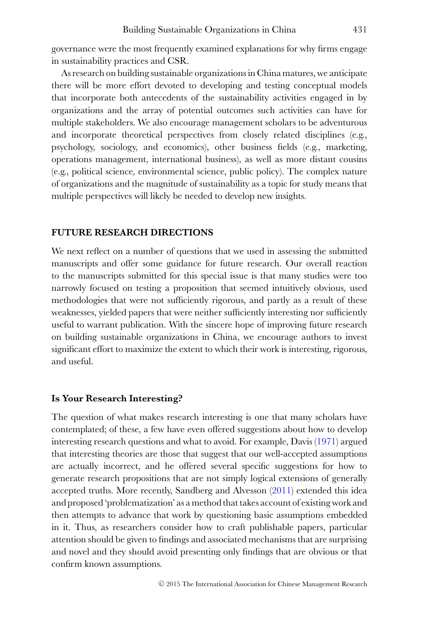governance were the most frequently examined explanations for why firms engage in sustainability practices and CSR.

As research on building sustainable organizations in China matures, we anticipate there will be more effort devoted to developing and testing conceptual models that incorporate both antecedents of the sustainability activities engaged in by organizations and the array of potential outcomes such activities can have for multiple stakeholders. We also encourage management scholars to be adventurous and incorporate theoretical perspectives from closely related disciplines (e.g., psychology, sociology, and economics), other business fields (e.g., marketing, operations management, international business), as well as more distant cousins (e.g., political science, environmental science, public policy). The complex nature of organizations and the magnitude of sustainability as a topic for study means that multiple perspectives will likely be needed to develop new insights.

## **FUTURE RESEARCH DIRECTIONS**

We next reflect on a number of questions that we used in assessing the submitted manuscripts and offer some guidance for future research. Our overall reaction to the manuscripts submitted for this special issue is that many studies were too narrowly focused on testing a proposition that seemed intuitively obvious, used methodologies that were not sufficiently rigorous, and partly as a result of these weaknesses, yielded papers that were neither sufficiently interesting nor sufficiently useful to warrant publication. With the sincere hope of improving future research on building sustainable organizations in China, we encourage authors to invest significant effort to maximize the extent to which their work is interesting, rigorous, and useful.

#### **Is Your Research Interesting?**

The question of what makes research interesting is one that many scholars have contemplated; of these, a few have even offered suggestions about how to develop interesting research questions and what to avoid. For example, Davis [\(1971\)](#page-12-0) argued that interesting theories are those that suggest that our well-accepted assumptions are actually incorrect, and he offered several specific suggestions for how to generate research propositions that are not simply logical extensions of generally accepted truths. More recently, Sandberg and Alvesson [\(2011\)](#page-13-0) extended this idea and proposed 'problematization' as a method that takes account of existing work and then attempts to advance that work by questioning basic assumptions embedded in it. Thus, as researchers consider how to craft publishable papers, particular attention should be given to findings and associated mechanisms that are surprising and novel and they should avoid presenting only findings that are obvious or that confirm known assumptions.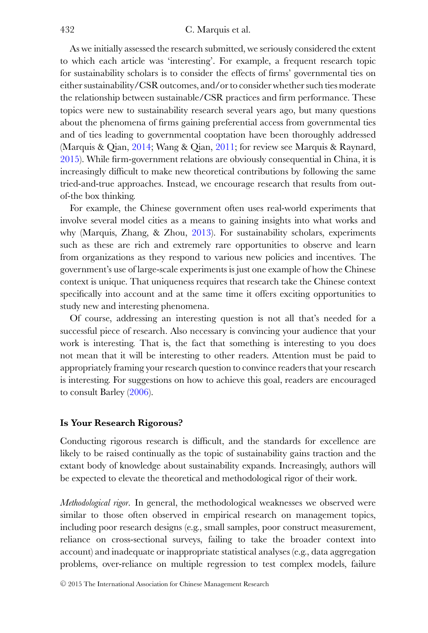As we initially assessed the research submitted, we seriously considered the extent to which each article was 'interesting'. For example, a frequent research topic for sustainability scholars is to consider the effects of firms' governmental ties on either sustainability/CSR outcomes, and/or to consider whether such ties moderate the relationship between sustainable/CSR practices and firm performance. These topics were new to sustainability research several years ago, but many questions about the phenomena of firms gaining preferential access from governmental ties and of ties leading to governmental cooptation have been thoroughly addressed (Marquis & Qian, [2014;](#page-13-0) Wang & Qian, [2011;](#page-13-0) for review see Marquis & Raynard, [2015\)](#page-13-0). While firm-government relations are obviously consequential in China, it is increasingly difficult to make new theoretical contributions by following the same tried-and-true approaches. Instead, we encourage research that results from outof-the box thinking.

For example, the Chinese government often uses real-world experiments that involve several model cities as a means to gaining insights into what works and why (Marquis, Zhang, & Zhou, [2013\)](#page-13-0). For sustainability scholars, experiments such as these are rich and extremely rare opportunities to observe and learn from organizations as they respond to various new policies and incentives. The government's use of large-scale experiments is just one example of how the Chinese context is unique. That uniqueness requires that research take the Chinese context specifically into account and at the same time it offers exciting opportunities to study new and interesting phenomena.

Of course, addressing an interesting question is not all that's needed for a successful piece of research. Also necessary is convincing your audience that your work is interesting. That is, the fact that something is interesting to you does not mean that it will be interesting to other readers. Attention must be paid to appropriately framing your research question to convince readers that your research is interesting. For suggestions on how to achieve this goal, readers are encouraged to consult Barley [\(2006\)](#page-12-0).

#### **Is Your Research Rigorous?**

Conducting rigorous research is difficult, and the standards for excellence are likely to be raised continually as the topic of sustainability gains traction and the extant body of knowledge about sustainability expands. Increasingly, authors will be expected to elevate the theoretical and methodological rigor of their work.

*Methodological rigor.* In general, the methodological weaknesses we observed were similar to those often observed in empirical research on management topics, including poor research designs (e.g., small samples, poor construct measurement, reliance on cross-sectional surveys, failing to take the broader context into account) and inadequate or inappropriate statistical analyses (e.g., data aggregation problems, over-reliance on multiple regression to test complex models, failure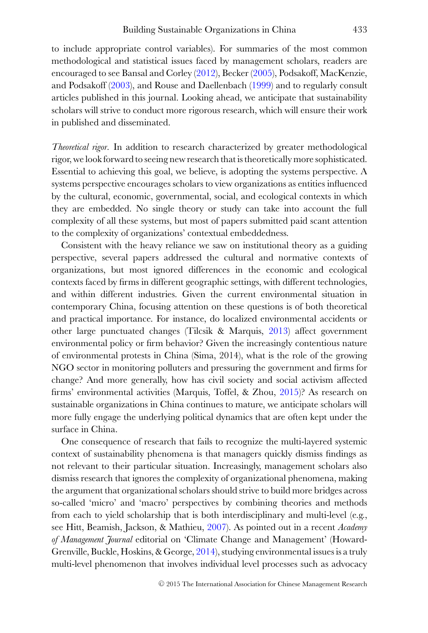to include appropriate control variables). For summaries of the most common methodological and statistical issues faced by management scholars, readers are encouraged to see Bansal and Corley [\(2012\)](#page-12-0), Becker [\(2005\)](#page-12-0), Podsakoff, MacKenzie, and Podsakoff [\(2003\)](#page-13-0), and Rouse and Daellenbach [\(1999\)](#page-13-0) and to regularly consult articles published in this journal. Looking ahead, we anticipate that sustainability scholars will strive to conduct more rigorous research, which will ensure their work in published and disseminated.

*Theoretical rigor.* In addition to research characterized by greater methodological rigor, we look forward to seeing new research that is theoretically more sophisticated. Essential to achieving this goal, we believe, is adopting the systems perspective. A systems perspective encourages scholars to view organizations as entities influenced by the cultural, economic, governmental, social, and ecological contexts in which they are embedded. No single theory or study can take into account the full complexity of all these systems, but most of papers submitted paid scant attention to the complexity of organizations' contextual embeddedness.

Consistent with the heavy reliance we saw on institutional theory as a guiding perspective, several papers addressed the cultural and normative contexts of organizations, but most ignored differences in the economic and ecological contexts faced by firms in different geographic settings, with different technologies, and within different industries. Given the current environmental situation in contemporary China, focusing attention on these questions is of both theoretical and practical importance. For instance, do localized environmental accidents or other large punctuated changes (Tilcsik & Marquis, [2013\)](#page-13-0) affect government environmental policy or firm behavior? Given the increasingly contentious nature of environmental protests in China (Sima, 2014), what is the role of the growing NGO sector in monitoring polluters and pressuring the government and firms for change? And more generally, how has civil society and social activism affected firms' environmental activities (Marquis, Toffel, & Zhou, [2015\)](#page-13-0)? As research on sustainable organizations in China continues to mature, we anticipate scholars will more fully engage the underlying political dynamics that are often kept under the surface in China.

One consequence of research that fails to recognize the multi-layered systemic context of sustainability phenomena is that managers quickly dismiss findings as not relevant to their particular situation. Increasingly, management scholars also dismiss research that ignores the complexity of organizational phenomena, making the argument that organizational scholars should strive to build more bridges across so-called 'micro' and 'macro' perspectives by combining theories and methods from each to yield scholarship that is both interdisciplinary and multi-level (e.g., see Hitt, Beamish, Jackson, & Mathieu, [2007\)](#page-12-0). As pointed out in a recent *Academy of Management Journal* editorial on 'Climate Change and Management' (Howard-Grenville, Buckle, Hoskins, & George, [2014\)](#page-12-0), studying environmental issues is a truly multi-level phenomenon that involves individual level processes such as advocacy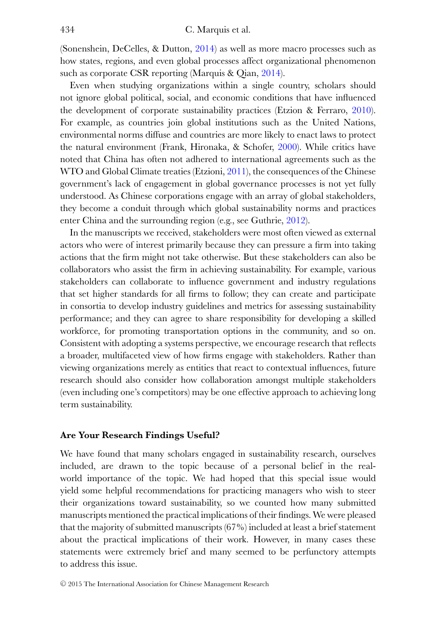(Sonenshein, DeCelles, & Dutton, [2014\)](#page-13-0) as well as more macro processes such as how states, regions, and even global processes affect organizational phenomenon such as corporate CSR reporting (Marquis & Qian, [2014\)](#page-13-0).

Even when studying organizations within a single country, scholars should not ignore global political, social, and economic conditions that have influenced the development of corporate sustainability practices (Etzion & Ferraro, [2010\)](#page-12-0). For example, as countries join global institutions such as the United Nations, environmental norms diffuse and countries are more likely to enact laws to protect the natural environment (Frank, Hironaka, & Schofer, [2000\)](#page-12-0). While critics have noted that China has often not adhered to international agreements such as the WTO and Global Climate treaties (Etzioni, [2011\)](#page-12-0), the consequences of the Chinese government's lack of engagement in global governance processes is not yet fully understood. As Chinese corporations engage with an array of global stakeholders, they become a conduit through which global sustainability norms and practices enter China and the surrounding region (e.g., see Guthrie, [2012\)](#page-12-0).

In the manuscripts we received, stakeholders were most often viewed as external actors who were of interest primarily because they can pressure a firm into taking actions that the firm might not take otherwise. But these stakeholders can also be collaborators who assist the firm in achieving sustainability. For example, various stakeholders can collaborate to influence government and industry regulations that set higher standards for all firms to follow; they can create and participate in consortia to develop industry guidelines and metrics for assessing sustainability performance; and they can agree to share responsibility for developing a skilled workforce, for promoting transportation options in the community, and so on. Consistent with adopting a systems perspective, we encourage research that reflects a broader, multifaceted view of how firms engage with stakeholders. Rather than viewing organizations merely as entities that react to contextual influences, future research should also consider how collaboration amongst multiple stakeholders (even including one's competitors) may be one effective approach to achieving long term sustainability.

#### **Are Your Research Findings Useful?**

We have found that many scholars engaged in sustainability research, ourselves included, are drawn to the topic because of a personal belief in the realworld importance of the topic. We had hoped that this special issue would yield some helpful recommendations for practicing managers who wish to steer their organizations toward sustainability, so we counted how many submitted manuscripts mentioned the practical implications of their findings. We were pleased that the majority of submitted manuscripts (67%) included at least a brief statement about the practical implications of their work. However, in many cases these statements were extremely brief and many seemed to be perfunctory attempts to address this issue.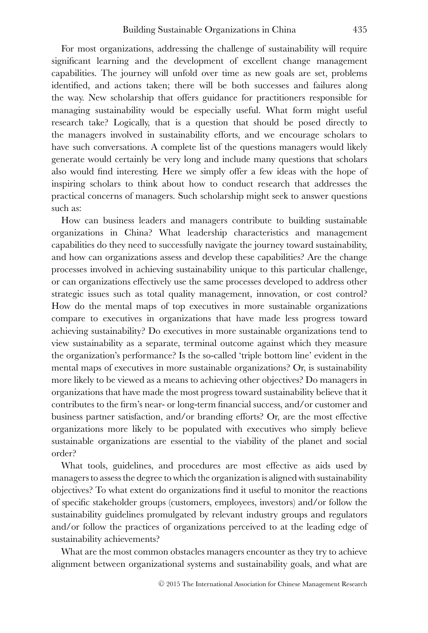For most organizations, addressing the challenge of sustainability will require significant learning and the development of excellent change management capabilities. The journey will unfold over time as new goals are set, problems identified, and actions taken; there will be both successes and failures along the way. New scholarship that offers guidance for practitioners responsible for managing sustainability would be especially useful. What form might useful research take? Logically, that is a question that should be posed directly to the managers involved in sustainability efforts, and we encourage scholars to have such conversations. A complete list of the questions managers would likely generate would certainly be very long and include many questions that scholars also would find interesting. Here we simply offer a few ideas with the hope of inspiring scholars to think about how to conduct research that addresses the practical concerns of managers. Such scholarship might seek to answer questions such as:

How can business leaders and managers contribute to building sustainable organizations in China? What leadership characteristics and management capabilities do they need to successfully navigate the journey toward sustainability, and how can organizations assess and develop these capabilities? Are the change processes involved in achieving sustainability unique to this particular challenge, or can organizations effectively use the same processes developed to address other strategic issues such as total quality management, innovation, or cost control? How do the mental maps of top executives in more sustainable organizations compare to executives in organizations that have made less progress toward achieving sustainability? Do executives in more sustainable organizations tend to view sustainability as a separate, terminal outcome against which they measure the organization's performance? Is the so-called 'triple bottom line' evident in the mental maps of executives in more sustainable organizations? Or, is sustainability more likely to be viewed as a means to achieving other objectives? Do managers in organizations that have made the most progress toward sustainability believe that it contributes to the firm's near- or long-term financial success, and/or customer and business partner satisfaction, and/or branding efforts? Or, are the most effective organizations more likely to be populated with executives who simply believe sustainable organizations are essential to the viability of the planet and social order?

What tools, guidelines, and procedures are most effective as aids used by managers to assess the degree to which the organization is aligned with sustainability objectives? To what extent do organizations find it useful to monitor the reactions of specific stakeholder groups (customers, employees, investors) and/or follow the sustainability guidelines promulgated by relevant industry groups and regulators and/or follow the practices of organizations perceived to at the leading edge of sustainability achievements?

What are the most common obstacles managers encounter as they try to achieve alignment between organizational systems and sustainability goals, and what are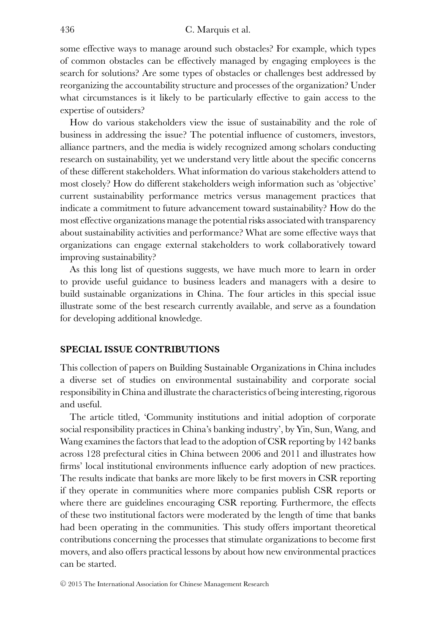some effective ways to manage around such obstacles? For example, which types of common obstacles can be effectively managed by engaging employees is the search for solutions? Are some types of obstacles or challenges best addressed by reorganizing the accountability structure and processes of the organization? Under what circumstances is it likely to be particularly effective to gain access to the expertise of outsiders?

How do various stakeholders view the issue of sustainability and the role of business in addressing the issue? The potential influence of customers, investors, alliance partners, and the media is widely recognized among scholars conducting research on sustainability, yet we understand very little about the specific concerns of these different stakeholders. What information do various stakeholders attend to most closely? How do different stakeholders weigh information such as 'objective' current sustainability performance metrics versus management practices that indicate a commitment to future advancement toward sustainability? How do the most effective organizations manage the potential risks associated with transparency about sustainability activities and performance? What are some effective ways that organizations can engage external stakeholders to work collaboratively toward improving sustainability?

As this long list of questions suggests, we have much more to learn in order to provide useful guidance to business leaders and managers with a desire to build sustainable organizations in China. The four articles in this special issue illustrate some of the best research currently available, and serve as a foundation for developing additional knowledge.

### **SPECIAL ISSUE CONTRIBUTIONS**

This collection of papers on Building Sustainable Organizations in China includes a diverse set of studies on environmental sustainability and corporate social responsibility in China and illustrate the characteristics of being interesting, rigorous and useful.

The article titled, 'Community institutions and initial adoption of corporate social responsibility practices in China's banking industry', by Yin, Sun, Wang, and Wang examines the factors that lead to the adoption of CSR reporting by 142 banks across 128 prefectural cities in China between 2006 and 2011 and illustrates how firms' local institutional environments influence early adoption of new practices. The results indicate that banks are more likely to be first movers in CSR reporting if they operate in communities where more companies publish CSR reports or where there are guidelines encouraging CSR reporting. Furthermore, the effects of these two institutional factors were moderated by the length of time that banks had been operating in the communities. This study offers important theoretical contributions concerning the processes that stimulate organizations to become first movers, and also offers practical lessons by about how new environmental practices can be started.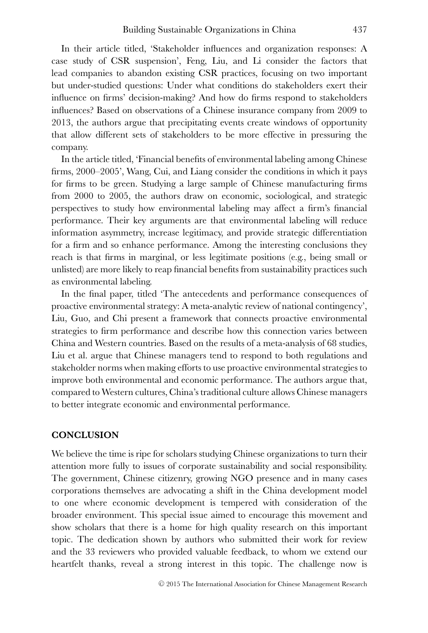In their article titled, 'Stakeholder influences and organization responses: A case study of CSR suspension', Feng, Liu, and Li consider the factors that lead companies to abandon existing CSR practices, focusing on two important but under-studied questions: Under what conditions do stakeholders exert their influence on firms' decision-making? And how do firms respond to stakeholders influences? Based on observations of a Chinese insurance company from 2009 to 2013, the authors argue that precipitating events create windows of opportunity that allow different sets of stakeholders to be more effective in pressuring the company.

In the article titled, 'Financial benefits of environmental labeling among Chinese firms, 2000–2005', Wang, Cui, and Liang consider the conditions in which it pays for firms to be green. Studying a large sample of Chinese manufacturing firms from 2000 to 2005, the authors draw on economic, sociological, and strategic perspectives to study how environmental labeling may affect a firm's financial performance. Their key arguments are that environmental labeling will reduce information asymmetry, increase legitimacy, and provide strategic differentiation for a firm and so enhance performance. Among the interesting conclusions they reach is that firms in marginal, or less legitimate positions (e.g., being small or unlisted) are more likely to reap financial benefits from sustainability practices such as environmental labeling.

In the final paper, titled 'The antecedents and performance consequences of proactive environmental strategy: A meta-analytic review of national contingency', Liu, Guo, and Chi present a framework that connects proactive environmental strategies to firm performance and describe how this connection varies between China and Western countries. Based on the results of a meta-analysis of 68 studies, Liu et al. argue that Chinese managers tend to respond to both regulations and stakeholder norms when making efforts to use proactive environmental strategies to improve both environmental and economic performance. The authors argue that, compared to Western cultures, China's traditional culture allows Chinese managers to better integrate economic and environmental performance.

## **CONCLUSION**

We believe the time is ripe for scholars studying Chinese organizations to turn their attention more fully to issues of corporate sustainability and social responsibility. The government, Chinese citizenry, growing NGO presence and in many cases corporations themselves are advocating a shift in the China development model to one where economic development is tempered with consideration of the broader environment. This special issue aimed to encourage this movement and show scholars that there is a home for high quality research on this important topic. The dedication shown by authors who submitted their work for review and the 33 reviewers who provided valuable feedback, to whom we extend our heartfelt thanks, reveal a strong interest in this topic. The challenge now is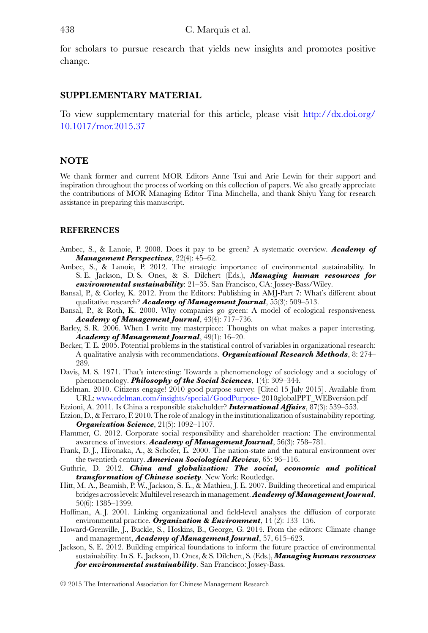<span id="page-12-0"></span>for scholars to pursue research that yields new insights and promotes positive change.

#### **SUPPLEMENTARY MATERIAL**

To view supplementary material for this article, please visit [http://dx.doi.org/](http://dx.doi.org/10.1017/mor.2015.37) [10.1017/mor.2015.37](http://dx.doi.org/10.1017/mor.2015.37)

#### **NOTE**

We thank former and current MOR Editors Anne Tsui and Arie Lewin for their support and inspiration throughout the process of working on this collection of papers. We also greatly appreciate the contributions of MOR Managing Editor Tina Minchella, and thank Shiyu Yang for research assistance in preparing this manuscript.

#### **REFERENCES**

- Ambec, S., & Lanoie, P. 2008. Does it pay to be green? A systematic overview. *Academy of Management Perspectives*, 22(4): 45–62.
- Ambec, S., & Lanoie, P. 2012. The strategic importance of environmental sustainability. In S. E. Jackson, D. S. Ones, & S. Dilchert (Eds.), *Managing human resources for environmental sustainability*: 21–35. San Francisco, CA: Jossey-Bass/Wiley.
- Bansal, P., & Corley, K. 2012. From the Editors: Publishing in AMJ-Part 7: What's different about qualitative research? *Academy of Management Journal*, 55(3): 509–513.
- Bansal, P., & Roth, K. 2000. Why companies go green: A model of ecological responsiveness. *Academy of Management Journal*, 43(4): 717–736.
- Barley, S. R. 2006. When I write my masterpiece: Thoughts on what makes a paper interesting. *Academy of Management Journal*, 49(1): 16–20.
- Becker, T. E. 2005. Potential problems in the statistical control of variables in organizational research: A qualitative analysis with recommendations. *Organizational Research Methods*, 8: 274– 289.
- Davis, M. S. 1971. That's interesting: Towards a phenomenology of sociology and a sociology of phenomenology. *Philosophy of the Social Sciences*, 1(4): 309–344.
- Edelman. 2010. Citizens engage! 2010 good purpose survey. [Cited 15 July 2015]. Available from URL: [www.edelman.com/insights/special/GoodPurpose-](http://www.edelman.com/insights/special/GoodPurpose-) 2010globalPPT\_WEBversion.pdf
- Etzioni, A. 2011. Is China a responsible stakeholder? *International Affairs*, 87(3): 539–553.
- Etzion, D., & Ferraro, F. 2010. The role of analogy in the institutionalization of sustainability reporting. *Organization Science*, 21(5): 1092-1107.
- Flammer, C. 2012. Corporate social responsibility and shareholder reaction: The environmental awareness of investors. *Academy of Management Journal*, 56(3): 758–781.
- Frank, D. J., Hironaka, A., & Schofer, E. 2000. The nation-state and the natural environment over the twentieth century. *American Sociological Review*, 65: 96–116.
- Guthrie, D. 2012. *China and globalization: The social, economic and political transformation of Chinese society*. New York: Routledge.
- Hitt, M. A., Beamish, P. W., Jackson, S. E., & Mathieu, J. E. 2007. Building theoretical and empirical bridges across levels:Multilevel research in management.*Academy of Management Journal*, 50(6): 1385–1399.
- Hoffman, A. J. 2001. Linking organizational and field-level analyses the diffusion of corporate environmental practice. *Organization & Environment*, 14 (2): 133–156.
- Howard-Grenville, J., Buckle, S., Hoskins, B., George, G. 2014. From the editors: Climate change and management, *Academy of Management Journal*, 57, 615–623.
- Jackson, S. E. 2012. Building empirical foundations to inform the future practice of environmental sustainability. In S. E. Jackson, D. Ones, & S. Dilchert, S. (Eds.), *Managing human resources for environmental sustainability*. San Francisco: Jossey-Bass.

-<sup>C</sup> 2015 The International Association for Chinese Management Research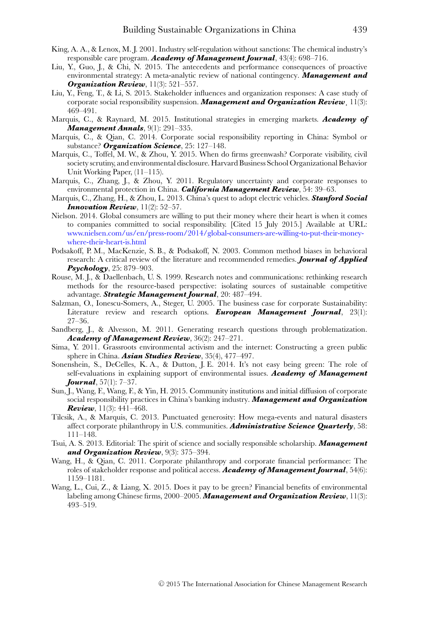- <span id="page-13-0"></span>King, A. A., & Lenox, M. J. 2001. Industry self-regulation without sanctions: The chemical industry's responsible care program. *Academy of Management Journal*, 43(4): 698–716.
- Liu, Y., Guo, J., & Chi, N. 2015. The antecedents and performance consequences of proactive environmental strategy: A meta-analytic review of national contingency. *Management and Organization Review*, 11(3): 521–557.
- Liu, Y., Feng, T., & Li, S. 2015. Stakeholder influences and organization responses: A case study of corporate social responsibility suspension. *Management and Organization Review*¸ 11(3): 469–491.
- Marquis, C., & Raynard, M. 2015. Institutional strategies in emerging markets. *Academy of Management Annals*, 9(1): 291–335.
- Marquis, C., & Qian, C. 2014. Corporate social responsibility reporting in China: Symbol or substance? *Organization Science*, 25: 127–148.
- Marquis, C., Toffel, M. W., & Zhou, Y. 2015. When do firms greenwash? Corporate visibility, civil society scrutiny, and environmental disclosure. Harvard Business School Organizational Behavior Unit Working Paper, (11–115).
- Marquis, C., Zhang, J., & Zhou, Y. 2011. Regulatory uncertainty and corporate responses to environmental protection in China. *California Management Review*, 54: 39–63.
- Marquis, C., Zhang, H., & Zhou, L. 2013. China's quest to adopt electric vehicles. *Stanford Social Innovation Review*,  $11(2): 52-57$ .
- Nielson. 2014. Global consumers are willing to put their money where their heart is when it comes to companies committed to social responsibility. [Cited 15 July 2015.] Available at URL: [www.nielsen.com/us/en/press-room/2014/global-consumers-are-willing-to-put-their-money](http://www.nielsen.com/us/en/press-room/2014/global-consumers-are-willing-to-put-their-money-where-their-heart-is.html)[where-their-heart-is.html](http://www.nielsen.com/us/en/press-room/2014/global-consumers-are-willing-to-put-their-money-where-their-heart-is.html)
- Podsakoff, P. M., MacKenzie, S. B., & Podsakoff, N. 2003. Common method biases in behavioral research: A critical review of the literature and recommended remedies. *Journal of Applied Psychology*, 25: 879–903.
- Rouse, M. J., & Daellenbach, U. S. 1999. Research notes and communications: rethinking research methods for the resource-based perspective: isolating sources of sustainable competitive advantage. *Strategic Management Journal*, 20: 487–494.
- Salzman, O., Ionescu-Somers, A., Steger, U. 2005. The business case for corporate Sustainability: Literature review and research options. *European Management Journal*, 23(1): 27–36.
- Sandberg, J., & Alvesson, M. 2011. Generating research questions through problematization. *Academy of Management Review*, 36(2): 247–271.
- Sima, Y. 2011. Grassroots environmental activism and the internet: Constructing a green public sphere in China. *Asian Studies Review*, 35(4), 477–497.
- Sonenshein, S., DeCelles, K. A., & Dutton, J. E. 2014. It's not easy being green: The role of self-evaluations in explaining support of environmental issues. *Academy of Management Journal*, 57(1): 7–37.
- Sun, J., Wang, F., Wang, F., & Yin, H. 2015. Community institutions and initial diffusion of corporate social responsibility practices in China's banking industry. *Management and Organization Review*, 11(3): 441–468.
- Tilcsik, A., & Marquis, C. 2013. Punctuated generosity: How mega-events and natural disasters affect corporate philanthropy in U.S. communities. *Administrative Science Quarterly*, 58: 111–148.
- Tsui, A. S. 2013. Editorial: The spirit of science and socially responsible scholarship. *Management and Organization Review*, 9(3): 375–394.
- Wang, H., & Qian, C. 2011. Corporate philanthropy and corporate financial performance: The roles of stakeholder response and political access. *Academy of Management Journal*, 54(6): 1159–1181.
- Wang, L., Cui, Z., & Liang, X. 2015. Does it pay to be green? Financial benefits of environmental labeling among Chinese firms, 2000–2005. *Management and Organization Review*, 11(3): 493–519.